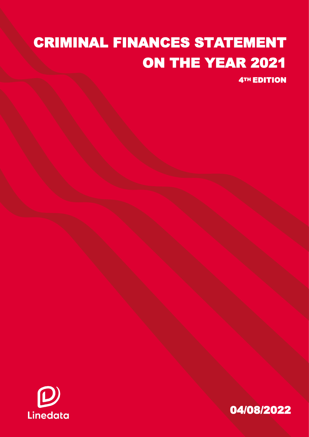# CRIMINAL FINANCES STATEMENT ON THE YEAR 2021

4TH EDITION



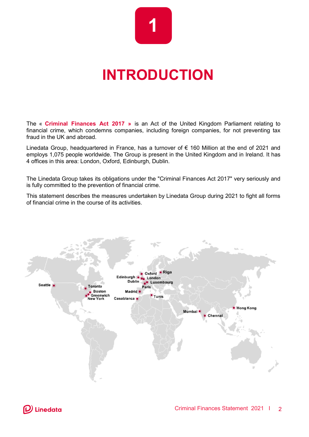

## **INTRODUCTION**

The « **Criminal Finances Act 2017 »** is an Act of the United Kingdom Parliament relating to financial crime, which condemns companies, including foreign companies, for not preventing tax fraud in the UK and abroad.

Linedata Group, headquartered in France, has a turnover of € 160 Million at the end of 2021 and employs 1,075 people worldwide. The Group is present in the United Kingdom and in Ireland. It has 4 offices in this area: London, Oxford, Edinburgh, Dublin.

The Linedata Group takes its obligations under the "Criminal Finances Act 2017" very seriously and is fully committed to the prevention of financial crime.

This statement describes the measures undertaken by Linedata Group during 2021 to fight all forms of financial crime in the course of its activities.

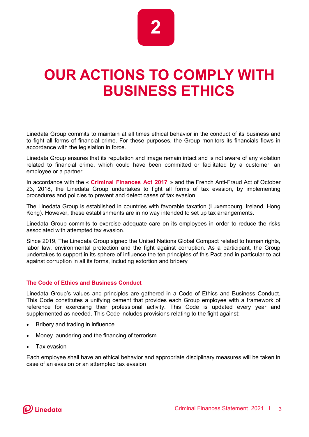

## **OUR ACTIONS TO COMPLY WITH BUSINESS ETHICS**

Linedata Group commits to maintain at all times ethical behavior in the conduct of its business and to fight all forms of financial crime. For these purposes, the Group monitors its financials flows in accordance with the legislation in force.

Linedata Group ensures that its reputation and image remain intact and is not aware of any violation related to financial crime, which could have been committed or facilitated by a customer, an employee or a partner.

In accordance with the « **Criminal Finances Act 2017** » and the French Anti-Fraud Act of October 23, 2018, the Linedata Group undertakes to fight all forms of tax evasion, by implementing procedures and policies to prevent and detect cases of tax evasion.

The Linedata Group is established in countries with favorable taxation (Luxembourg, Ireland, Hong Kong). However, these establishments are in no way intended to set up tax arrangements.

Linedata Group commits to exercise adequate care on its employees in order to reduce the risks associated with attempted tax evasion.

Since 2019, The Linedata Group signed the United Nations Global Compact related to human rights, labor law, environmental protection and the fight against corruption. As a participant, the Group undertakes to support in its sphere of influence the ten principles of this Pact and in particular to act against corruption in all its forms, including extortion and bribery

#### **The Code of Ethics and Business Conduct**

Linedata Group's values and principles are gathered in a Code of Ethics and Business Conduct. This Code constitutes a unifying cement that provides each Group employee with a framework of reference for exercising their professional activity. This Code is updated every year and supplemented as needed. This Code includes provisions relating to the fight against:

- Bribery and trading in influence
- Money laundering and the financing of terrorism
- Tax evasion

Each employee shall have an ethical behavior and appropriate disciplinary measures will be taken in case of an evasion or an attempted tax evasion